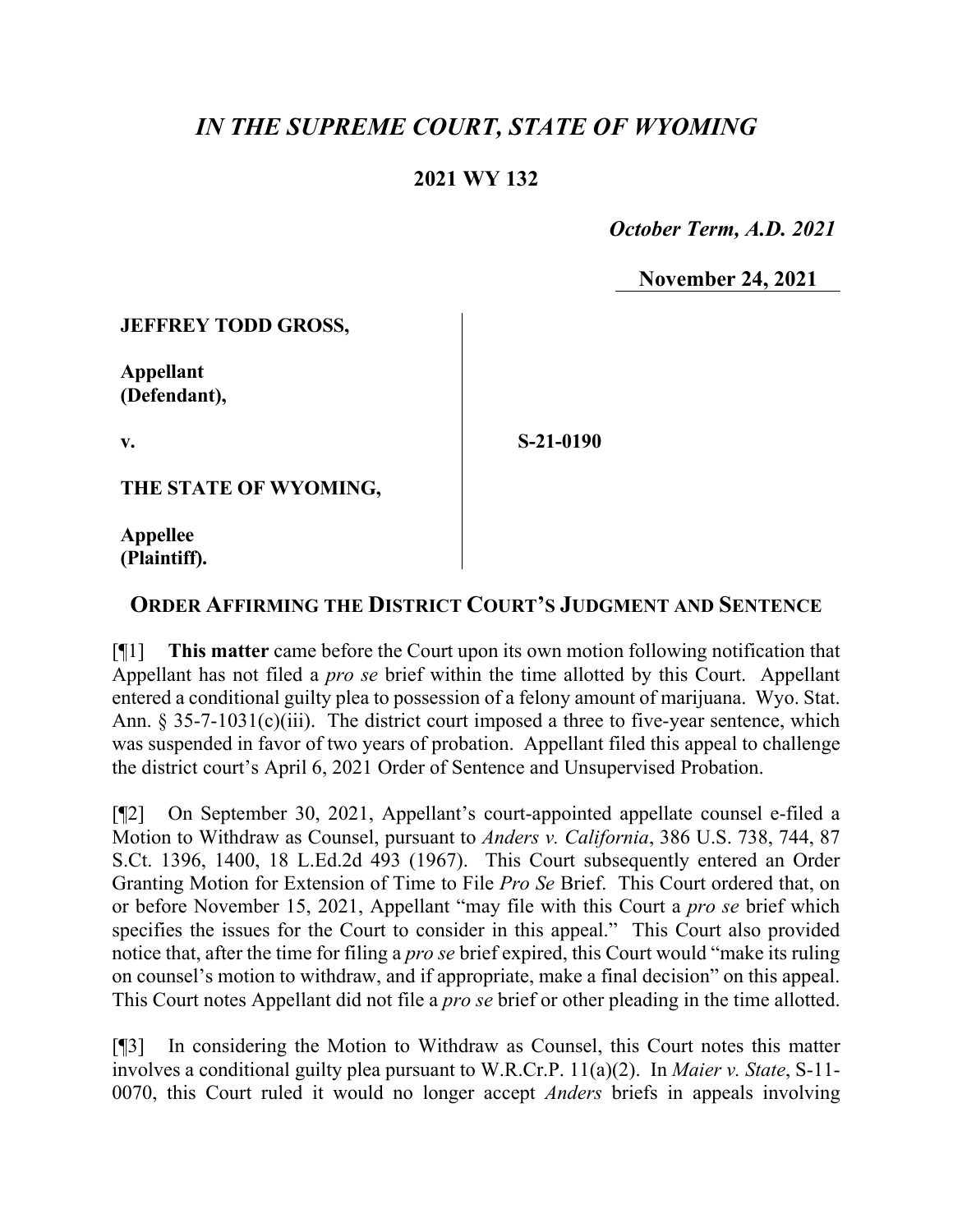## *IN THE SUPREME COURT, STATE OF WYOMING*

## **2021 WY 132**

 *October Term, A.D. 2021*

**November 24, 2021**

**JEFFREY TODD GROSS,**

**Appellant (Defendant),**

**v.**

**S-21-0190**

**THE STATE OF WYOMING,**

**Appellee (Plaintiff).**

## **ORDER AFFIRMING THE DISTRICT COURT'S JUDGMENT AND SENTENCE**

[¶1] **This matter** came before the Court upon its own motion following notification that Appellant has not filed a *pro se* brief within the time allotted by this Court. Appellant entered a conditional guilty plea to possession of a felony amount of marijuana. Wyo. Stat. Ann.  $\S 35-7-1031(c)(iii)$ . The district court imposed a three to five-year sentence, which was suspended in favor of two years of probation. Appellant filed this appeal to challenge the district court's April 6, 2021 Order of Sentence and Unsupervised Probation.

[¶2] On September 30, 2021, Appellant's court-appointed appellate counsel e-filed a Motion to Withdraw as Counsel, pursuant to *Anders v. California*, 386 U.S. 738, 744, 87 S.Ct. 1396, 1400, 18 L.Ed.2d 493 (1967). This Court subsequently entered an Order Granting Motion for Extension of Time to File *Pro Se* Brief. This Court ordered that, on or before November 15, 2021, Appellant "may file with this Court a *pro se* brief which specifies the issues for the Court to consider in this appeal." This Court also provided notice that, after the time for filing a *pro se* brief expired, this Court would "make its ruling on counsel's motion to withdraw, and if appropriate, make a final decision" on this appeal. This Court notes Appellant did not file a *pro se* brief or other pleading in the time allotted.

[¶3] In considering the Motion to Withdraw as Counsel, this Court notes this matter involves a conditional guilty plea pursuant to W.R.Cr.P. 11(a)(2). In *Maier v. State*, S-11- 0070, this Court ruled it would no longer accept *Anders* briefs in appeals involving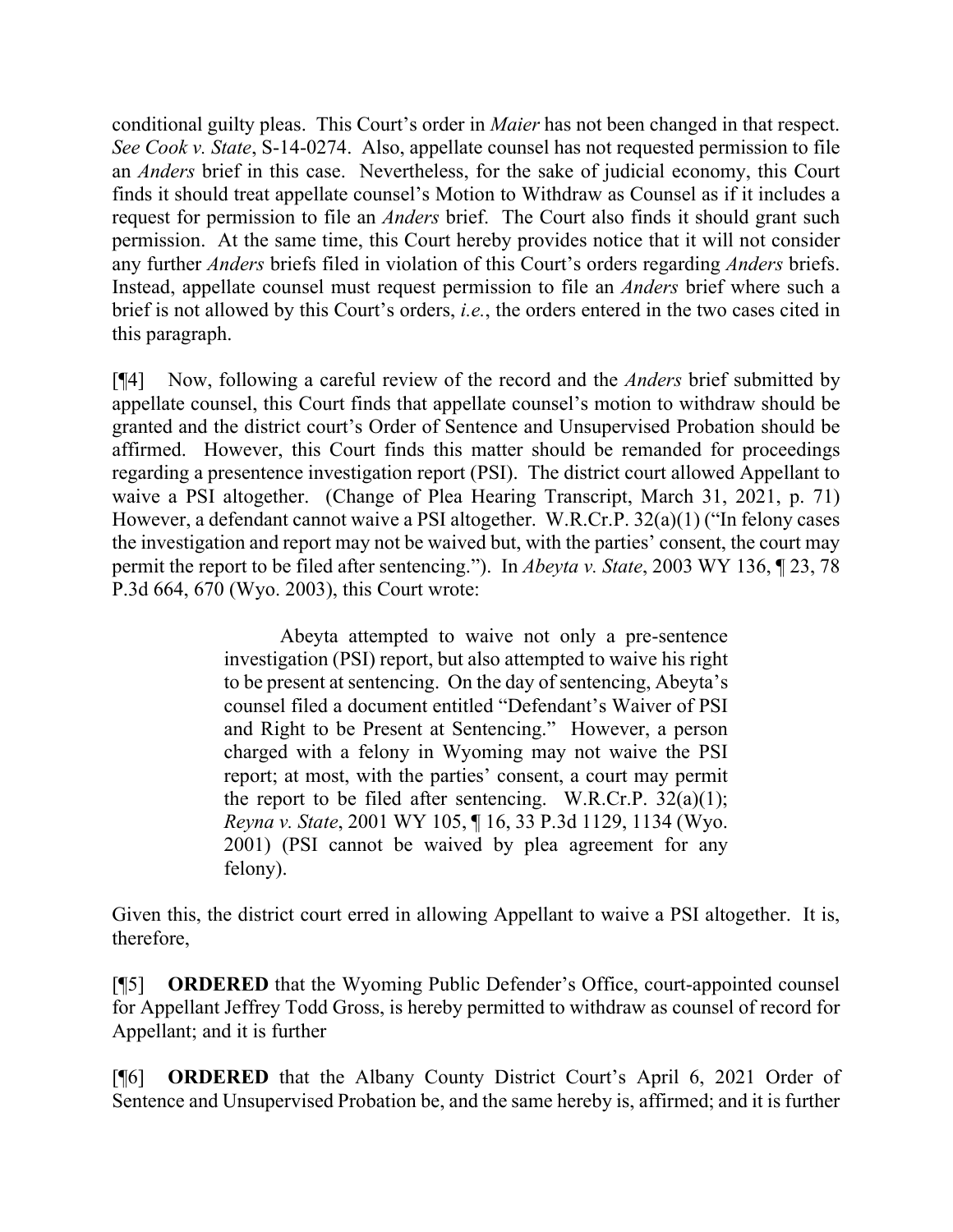conditional guilty pleas. This Court's order in *Maier* has not been changed in that respect. *See Cook v. State*, S-14-0274. Also, appellate counsel has not requested permission to file an *Anders* brief in this case. Nevertheless, for the sake of judicial economy, this Court finds it should treat appellate counsel's Motion to Withdraw as Counsel as if it includes a request for permission to file an *Anders* brief. The Court also finds it should grant such permission. At the same time, this Court hereby provides notice that it will not consider any further *Anders* briefs filed in violation of this Court's orders regarding *Anders* briefs. Instead, appellate counsel must request permission to file an *Anders* brief where such a brief is not allowed by this Court's orders, *i.e.*, the orders entered in the two cases cited in this paragraph.

[¶4] Now, following a careful review of the record and the *Anders* brief submitted by appellate counsel, this Court finds that appellate counsel's motion to withdraw should be granted and the district court's Order of Sentence and Unsupervised Probation should be affirmed. However, this Court finds this matter should be remanded for proceedings regarding a presentence investigation report (PSI). The district court allowed Appellant to waive a PSI altogether. (Change of Plea Hearing Transcript, March 31, 2021, p. 71) However, a defendant cannot waive a PSI altogether. W.R.Cr.P. 32(a)(1) ("In felony cases the investigation and report may not be waived but, with the parties' consent, the court may permit the report to be filed after sentencing."). In *Abeyta v. State*, 2003 WY 136, ¶ 23, 78 P.3d 664, 670 (Wyo. 2003), this Court wrote:

> Abeyta attempted to waive not only a pre-sentence investigation (PSI) report, but also attempted to waive his right to be present at sentencing. On the day of sentencing, Abeyta's counsel filed a document entitled "Defendant's Waiver of PSI and Right to be Present at Sentencing." However, a person charged with a felony in Wyoming may not waive the PSI report; at most, with the parties' consent, a court may permit the report to be filed after sentencing. W.R.Cr.P.  $32(a)(1)$ ; *Reyna v. State*, 2001 WY 105, ¶ 16, 33 P.3d 1129, 1134 (Wyo. 2001) (PSI cannot be waived by plea agreement for any felony).

Given this, the district court erred in allowing Appellant to waive a PSI altogether. It is, therefore,

[¶5] **ORDERED** that the Wyoming Public Defender's Office, court-appointed counsel for Appellant Jeffrey Todd Gross, is hereby permitted to withdraw as counsel of record for Appellant; and it is further

[¶6] **ORDERED** that the Albany County District Court's April 6, 2021 Order of Sentence and Unsupervised Probation be, and the same hereby is, affirmed; and it is further